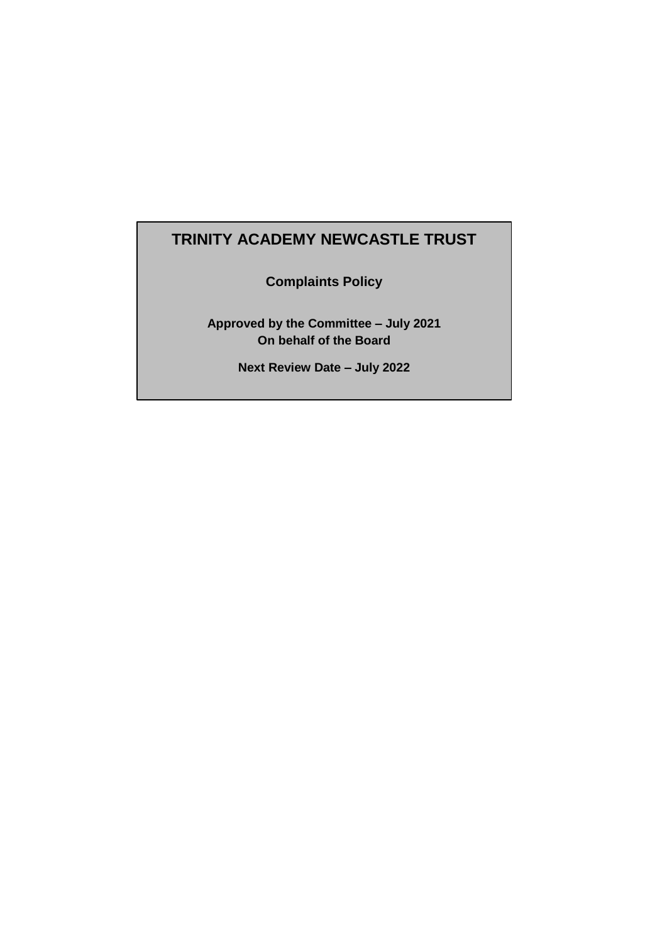#### **TRINITY ACADEMY NEWCASTLE TRUST**

**Complaints Policy**

**Approved by the Committee – July 2021 On behalf of the Board**

**Next Review Date – July 2022**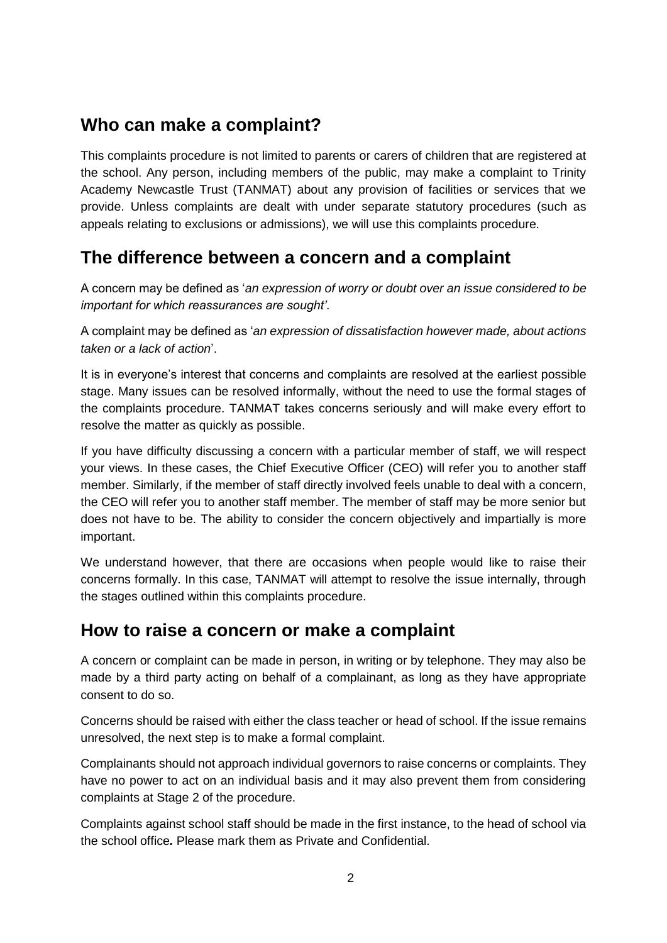### **Who can make a complaint?**

This complaints procedure is not limited to parents or carers of children that are registered at the school. Any person, including members of the public, may make a complaint to Trinity Academy Newcastle Trust (TANMAT) about any provision of facilities or services that we provide. Unless complaints are dealt with under separate statutory procedures (such as appeals relating to exclusions or admissions), we will use this complaints procedure.

### **The difference between a concern and a complaint**

A concern may be defined as '*an expression of worry or doubt over an issue considered to be important for which reassurances are sought'*.

A complaint may be defined as '*an expression of dissatisfaction however made, about actions taken or a lack of action*'.

It is in everyone's interest that concerns and complaints are resolved at the earliest possible stage. Many issues can be resolved informally, without the need to use the formal stages of the complaints procedure. TANMAT takes concerns seriously and will make every effort to resolve the matter as quickly as possible.

If you have difficulty discussing a concern with a particular member of staff, we will respect your views. In these cases, the Chief Executive Officer (CEO) will refer you to another staff member. Similarly, if the member of staff directly involved feels unable to deal with a concern, the CEO will refer you to another staff member. The member of staff may be more senior but does not have to be. The ability to consider the concern objectively and impartially is more important.

We understand however, that there are occasions when people would like to raise their concerns formally. In this case, TANMAT will attempt to resolve the issue internally, through the stages outlined within this complaints procedure.

### **How to raise a concern or make a complaint**

A concern or complaint can be made in person, in writing or by telephone. They may also be made by a third party acting on behalf of a complainant, as long as they have appropriate consent to do so.

Concerns should be raised with either the class teacher or head of school. If the issue remains unresolved, the next step is to make a formal complaint.

Complainants should not approach individual governors to raise concerns or complaints. They have no power to act on an individual basis and it may also prevent them from considering complaints at Stage 2 of the procedure.

Complaints against school staff should be made in the first instance, to the head of school via the school office*.* Please mark them as Private and Confidential.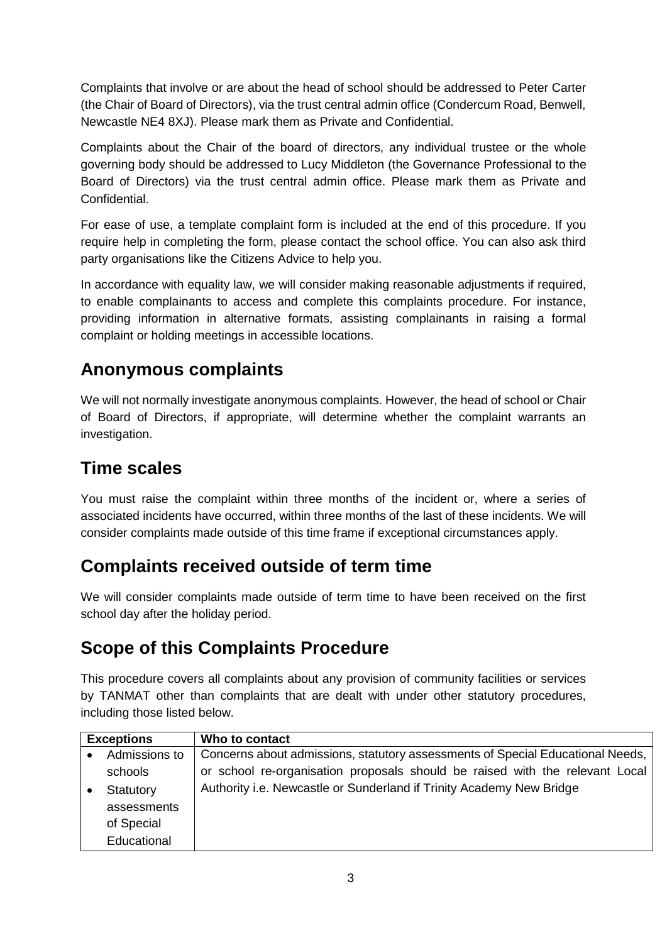Complaints that involve or are about the head of school should be addressed to Peter Carter (the Chair of Board of Directors), via the trust central admin office (Condercum Road, Benwell, Newcastle NE4 8XJ). Please mark them as Private and Confidential.

Complaints about the Chair of the board of directors, any individual trustee or the whole governing body should be addressed to Lucy Middleton (the Governance Professional to the Board of Directors) via the trust central admin office. Please mark them as Private and Confidential.

For ease of use, a template complaint form is included at the end of this procedure. If you require help in completing the form, please contact the school office. You can also ask third party organisations like the Citizens Advice to help you.

In accordance with equality law, we will consider making reasonable adjustments if required, to enable complainants to access and complete this complaints procedure. For instance, providing information in alternative formats, assisting complainants in raising a formal complaint or holding meetings in accessible locations.

# **Anonymous complaints**

We will not normally investigate anonymous complaints. However, the head of school or Chair of Board of Directors, if appropriate, will determine whether the complaint warrants an investigation.

# **Time scales**

You must raise the complaint within three months of the incident or, where a series of associated incidents have occurred, within three months of the last of these incidents. We will consider complaints made outside of this time frame if exceptional circumstances apply.

# **Complaints received outside of term time**

We will consider complaints made outside of term time to have been received on the first school day after the holiday period.

# **Scope of this Complaints Procedure**

This procedure covers all complaints about any provision of community facilities or services by TANMAT other than complaints that are dealt with under other statutory procedures, including those listed below.

| <b>Exceptions</b> |               | Who to contact                                                                 |
|-------------------|---------------|--------------------------------------------------------------------------------|
|                   | Admissions to | Concerns about admissions, statutory assessments of Special Educational Needs, |
|                   | schools       | or school re-organisation proposals should be raised with the relevant Local   |
|                   | Statutory     | Authority i.e. Newcastle or Sunderland if Trinity Academy New Bridge           |
|                   | assessments   |                                                                                |
|                   | of Special    |                                                                                |
|                   | Educational   |                                                                                |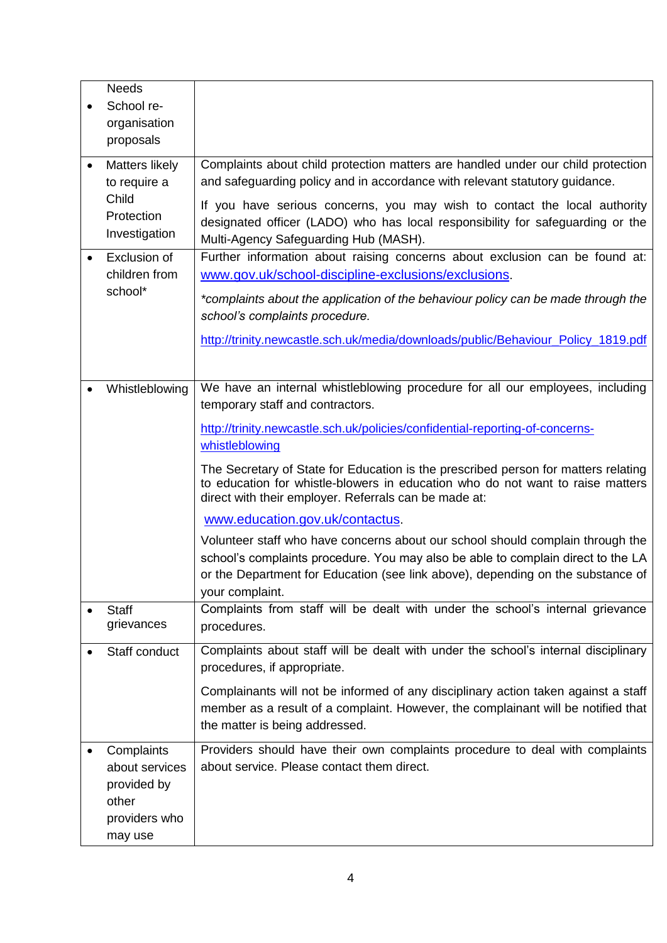| <b>Needs</b><br>School re-<br>organisation<br>proposals                          |                                                                                                                                                                                                                                                                                                                                                                                                                                                                                                                                                                                                                                                                                                                                                                     |
|----------------------------------------------------------------------------------|---------------------------------------------------------------------------------------------------------------------------------------------------------------------------------------------------------------------------------------------------------------------------------------------------------------------------------------------------------------------------------------------------------------------------------------------------------------------------------------------------------------------------------------------------------------------------------------------------------------------------------------------------------------------------------------------------------------------------------------------------------------------|
| <b>Matters likely</b><br>to require a<br>Child<br>Protection<br>Investigation    | Complaints about child protection matters are handled under our child protection<br>and safeguarding policy and in accordance with relevant statutory guidance.<br>If you have serious concerns, you may wish to contact the local authority<br>designated officer (LADO) who has local responsibility for safeguarding or the<br>Multi-Agency Safeguarding Hub (MASH).                                                                                                                                                                                                                                                                                                                                                                                             |
| Exclusion of<br>children from<br>school*                                         | Further information about raising concerns about exclusion can be found at:<br>www.gov.uk/school-discipline-exclusions/exclusions.<br>*complaints about the application of the behaviour policy can be made through the<br>school's complaints procedure.<br>http://trinity.newcastle.sch.uk/media/downloads/public/Behaviour Policy 1819.pdf                                                                                                                                                                                                                                                                                                                                                                                                                       |
| Whistleblowing                                                                   | We have an internal whistleblowing procedure for all our employees, including<br>temporary staff and contractors.<br>http://trinity.newcastle.sch.uk/policies/confidential-reporting-of-concerns-<br>whistleblowing<br>The Secretary of State for Education is the prescribed person for matters relating<br>to education for whistle-blowers in education who do not want to raise matters<br>direct with their employer. Referrals can be made at:<br>www.education.gov.uk/contactus.<br>Volunteer staff who have concerns about our school should complain through the<br>school's complaints procedure. You may also be able to complain direct to the LA<br>or the Department for Education (see link above), depending on the substance of<br>your complaint. |
| <b>Staff</b><br>grievances                                                       | Complaints from staff will be dealt with under the school's internal grievance<br>procedures.                                                                                                                                                                                                                                                                                                                                                                                                                                                                                                                                                                                                                                                                       |
| Staff conduct                                                                    | Complaints about staff will be dealt with under the school's internal disciplinary<br>procedures, if appropriate.<br>Complainants will not be informed of any disciplinary action taken against a staff<br>member as a result of a complaint. However, the complainant will be notified that<br>the matter is being addressed.                                                                                                                                                                                                                                                                                                                                                                                                                                      |
| Complaints<br>about services<br>provided by<br>other<br>providers who<br>may use | Providers should have their own complaints procedure to deal with complaints<br>about service. Please contact them direct.                                                                                                                                                                                                                                                                                                                                                                                                                                                                                                                                                                                                                                          |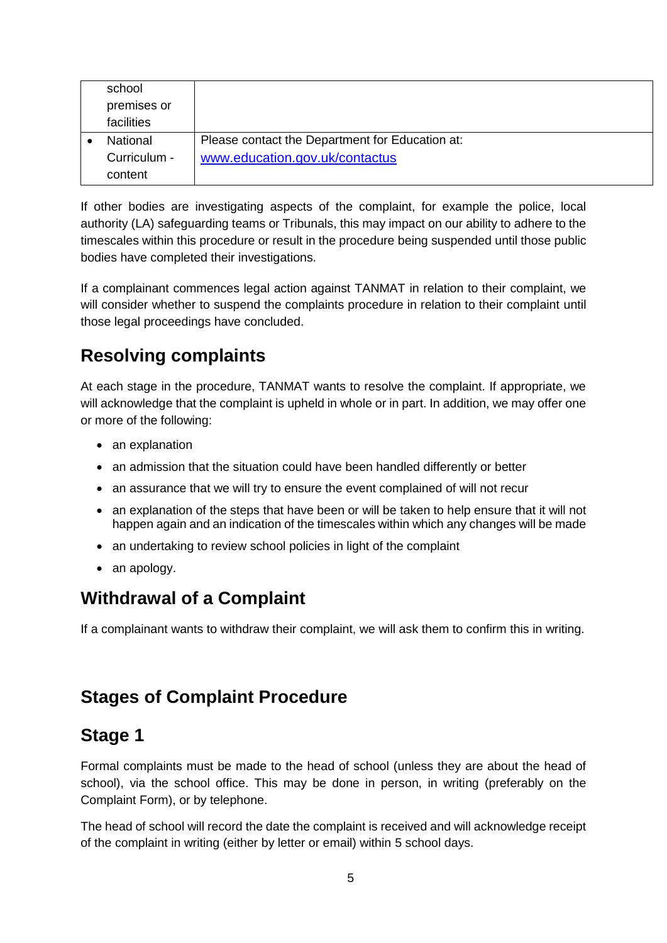| school       |                                                 |
|--------------|-------------------------------------------------|
| premises or  |                                                 |
| facilities   |                                                 |
| National     | Please contact the Department for Education at: |
| Curriculum - | www.education.gov.uk/contactus                  |
| content      |                                                 |

If other bodies are investigating aspects of the complaint, for example the police, local authority (LA) safeguarding teams or Tribunals, this may impact on our ability to adhere to the timescales within this procedure or result in the procedure being suspended until those public bodies have completed their investigations.

If a complainant commences legal action against TANMAT in relation to their complaint, we will consider whether to suspend the complaints procedure in relation to their complaint until those legal proceedings have concluded.

# **Resolving complaints**

At each stage in the procedure, TANMAT wants to resolve the complaint. If appropriate, we will acknowledge that the complaint is upheld in whole or in part. In addition, we may offer one or more of the following:

- an explanation
- an admission that the situation could have been handled differently or better
- an assurance that we will try to ensure the event complained of will not recur
- an explanation of the steps that have been or will be taken to help ensure that it will not happen again and an indication of the timescales within which any changes will be made
- an undertaking to review school policies in light of the complaint
- an apology.

# **Withdrawal of a Complaint**

If a complainant wants to withdraw their complaint, we will ask them to confirm this in writing.

# **Stages of Complaint Procedure**

### **Stage 1**

Formal complaints must be made to the head of school (unless they are about the head of school), via the school office. This may be done in person, in writing (preferably on the Complaint Form), or by telephone.

The head of school will record the date the complaint is received and will acknowledge receipt of the complaint in writing (either by letter or email) within 5 school days.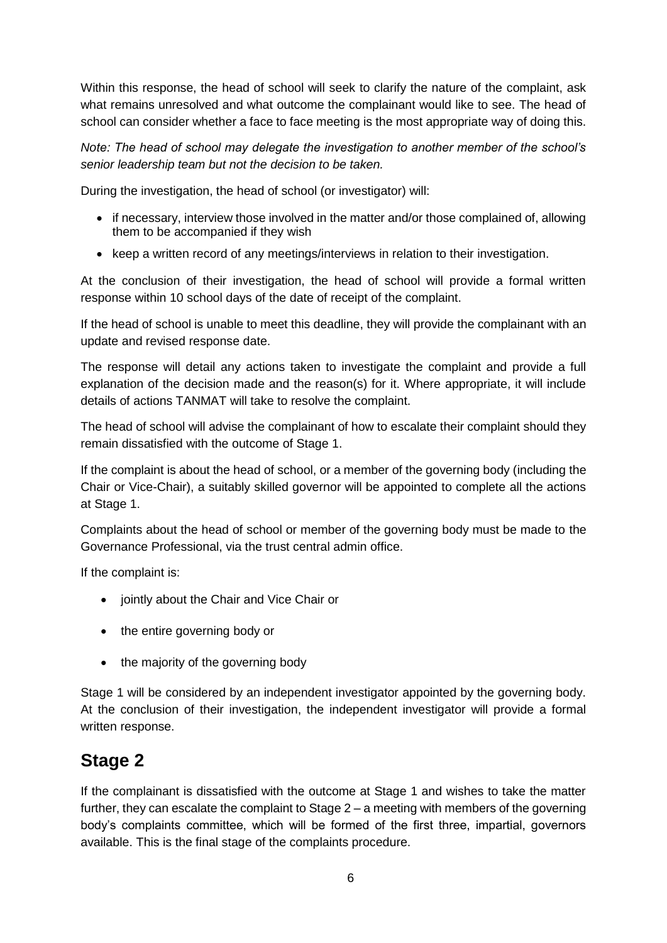Within this response, the head of school will seek to clarify the nature of the complaint, ask what remains unresolved and what outcome the complainant would like to see. The head of school can consider whether a face to face meeting is the most appropriate way of doing this.

*Note: The head of school may delegate the investigation to another member of the school's senior leadership team but not the decision to be taken.*

During the investigation, the head of school (or investigator) will:

- if necessary, interview those involved in the matter and/or those complained of, allowing them to be accompanied if they wish
- keep a written record of any meetings/interviews in relation to their investigation.

At the conclusion of their investigation, the head of school will provide a formal written response within 10 school days of the date of receipt of the complaint.

If the head of school is unable to meet this deadline, they will provide the complainant with an update and revised response date.

The response will detail any actions taken to investigate the complaint and provide a full explanation of the decision made and the reason(s) for it. Where appropriate, it will include details of actions TANMAT will take to resolve the complaint.

The head of school will advise the complainant of how to escalate their complaint should they remain dissatisfied with the outcome of Stage 1.

If the complaint is about the head of school, or a member of the governing body (including the Chair or Vice-Chair), a suitably skilled governor will be appointed to complete all the actions at Stage 1.

Complaints about the head of school or member of the governing body must be made to the Governance Professional, via the trust central admin office.

If the complaint is:

- iointly about the Chair and Vice Chair or
- the entire governing body or
- the majority of the governing body

Stage 1 will be considered by an independent investigator appointed by the governing body. At the conclusion of their investigation, the independent investigator will provide a formal written response.

# **Stage 2**

If the complainant is dissatisfied with the outcome at Stage 1 and wishes to take the matter further, they can escalate the complaint to Stage 2 – a meeting with members of the governing body's complaints committee, which will be formed of the first three, impartial, governors available. This is the final stage of the complaints procedure.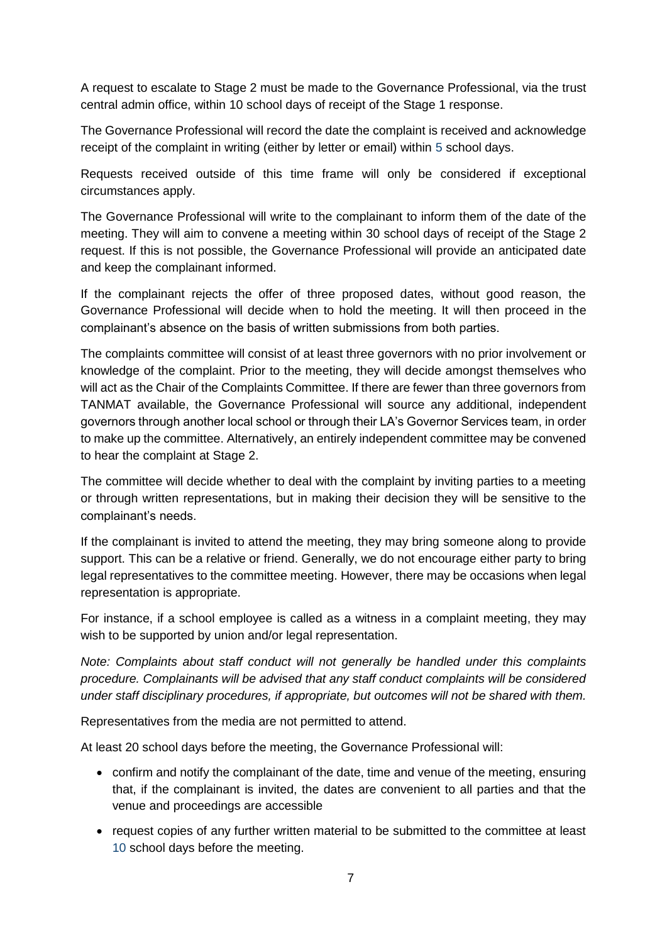A request to escalate to Stage 2 must be made to the Governance Professional, via the trust central admin office, within 10 school days of receipt of the Stage 1 response.

The Governance Professional will record the date the complaint is received and acknowledge receipt of the complaint in writing (either by letter or email) within 5 school days.

Requests received outside of this time frame will only be considered if exceptional circumstances apply.

The Governance Professional will write to the complainant to inform them of the date of the meeting. They will aim to convene a meeting within 30 school days of receipt of the Stage 2 request. If this is not possible, the Governance Professional will provide an anticipated date and keep the complainant informed.

If the complainant rejects the offer of three proposed dates, without good reason, the Governance Professional will decide when to hold the meeting. It will then proceed in the complainant's absence on the basis of written submissions from both parties.

The complaints committee will consist of at least three governors with no prior involvement or knowledge of the complaint. Prior to the meeting, they will decide amongst themselves who will act as the Chair of the Complaints Committee. If there are fewer than three governors from TANMAT available, the Governance Professional will source any additional, independent governors through another local school or through their LA's Governor Services team, in order to make up the committee. Alternatively, an entirely independent committee may be convened to hear the complaint at Stage 2.

The committee will decide whether to deal with the complaint by inviting parties to a meeting or through written representations, but in making their decision they will be sensitive to the complainant's needs.

If the complainant is invited to attend the meeting, they may bring someone along to provide support. This can be a relative or friend. Generally, we do not encourage either party to bring legal representatives to the committee meeting. However, there may be occasions when legal representation is appropriate.

For instance, if a school employee is called as a witness in a complaint meeting, they may wish to be supported by union and/or legal representation.

*Note: Complaints about staff conduct will not generally be handled under this complaints procedure. Complainants will be advised that any staff conduct complaints will be considered under staff disciplinary procedures, if appropriate, but outcomes will not be shared with them.* 

Representatives from the media are not permitted to attend.

At least 20 school days before the meeting, the Governance Professional will:

- confirm and notify the complainant of the date, time and venue of the meeting, ensuring that, if the complainant is invited, the dates are convenient to all parties and that the venue and proceedings are accessible
- request copies of any further written material to be submitted to the committee at least 10 school days before the meeting.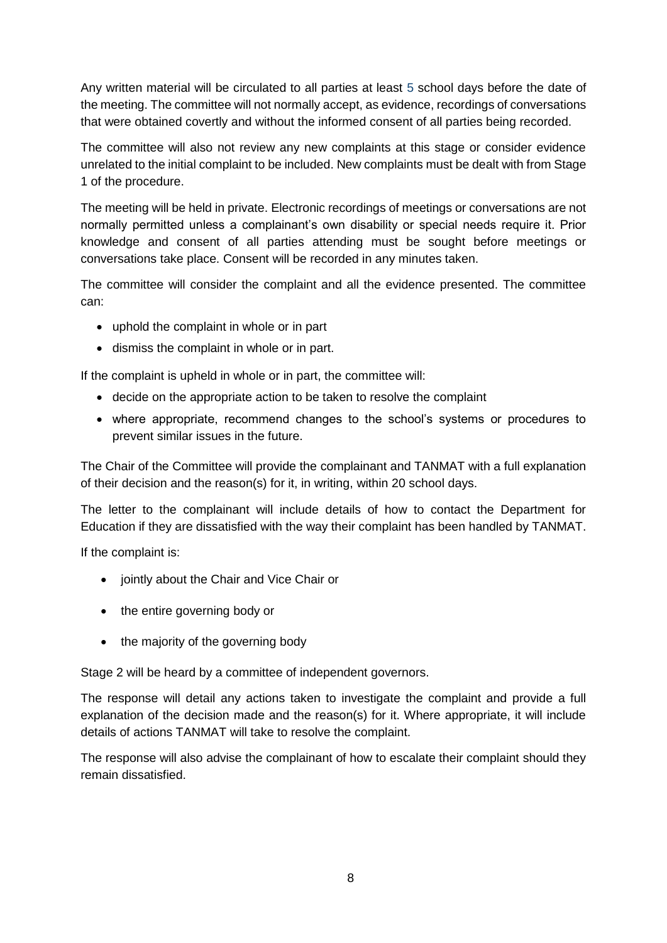Any written material will be circulated to all parties at least 5 school days before the date of the meeting. The committee will not normally accept, as evidence, recordings of conversations that were obtained covertly and without the informed consent of all parties being recorded.

The committee will also not review any new complaints at this stage or consider evidence unrelated to the initial complaint to be included. New complaints must be dealt with from Stage 1 of the procedure.

The meeting will be held in private. Electronic recordings of meetings or conversations are not normally permitted unless a complainant's own disability or special needs require it. Prior knowledge and consent of all parties attending must be sought before meetings or conversations take place. Consent will be recorded in any minutes taken.

The committee will consider the complaint and all the evidence presented. The committee can:

- uphold the complaint in whole or in part
- dismiss the complaint in whole or in part.

If the complaint is upheld in whole or in part, the committee will:

- decide on the appropriate action to be taken to resolve the complaint
- where appropriate, recommend changes to the school's systems or procedures to prevent similar issues in the future.

The Chair of the Committee will provide the complainant and TANMAT with a full explanation of their decision and the reason(s) for it, in writing, within 20 school days.

The letter to the complainant will include details of how to contact the Department for Education if they are dissatisfied with the way their complaint has been handled by TANMAT.

If the complaint is:

- jointly about the Chair and Vice Chair or
- the entire governing body or
- the majority of the governing body

Stage 2 will be heard by a committee of independent governors.

The response will detail any actions taken to investigate the complaint and provide a full explanation of the decision made and the reason(s) for it. Where appropriate, it will include details of actions TANMAT will take to resolve the complaint.

The response will also advise the complainant of how to escalate their complaint should they remain dissatisfied.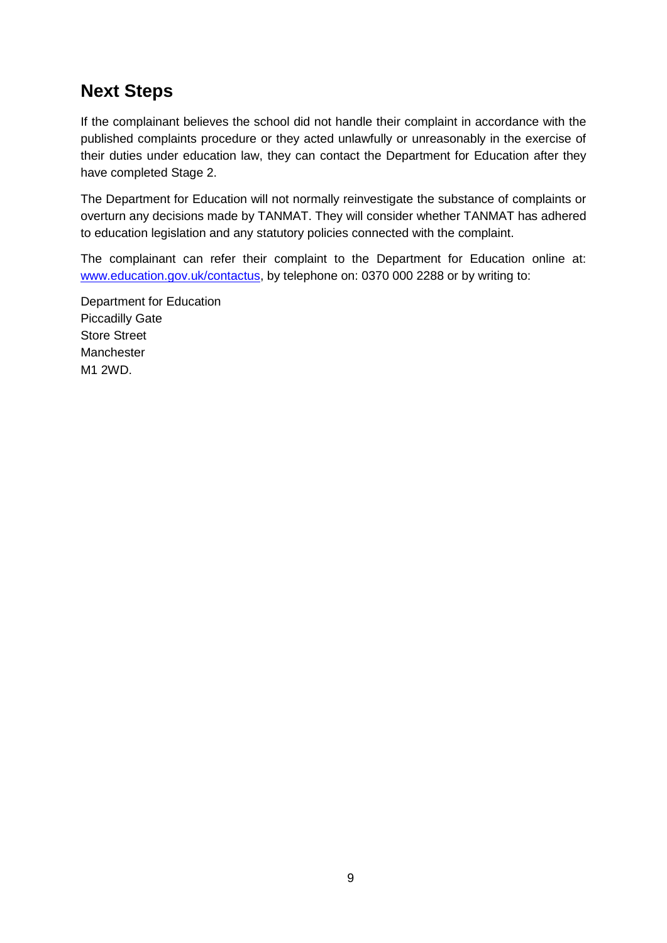### **Next Steps**

If the complainant believes the school did not handle their complaint in accordance with the published complaints procedure or they acted unlawfully or unreasonably in the exercise of their duties under education law, they can contact the Department for Education after they have completed Stage 2.

The Department for Education will not normally reinvestigate the substance of complaints or overturn any decisions made by TANMAT. They will consider whether TANMAT has adhered to education legislation and any statutory policies connected with the complaint.

The complainant can refer their complaint to the Department for Education online at: [www.education.gov.uk/contactus,](http://www.education.gov.uk/contactus) by telephone on: 0370 000 2288 or by writing to:

Department for Education Piccadilly Gate Store Street Manchester M1 2WD.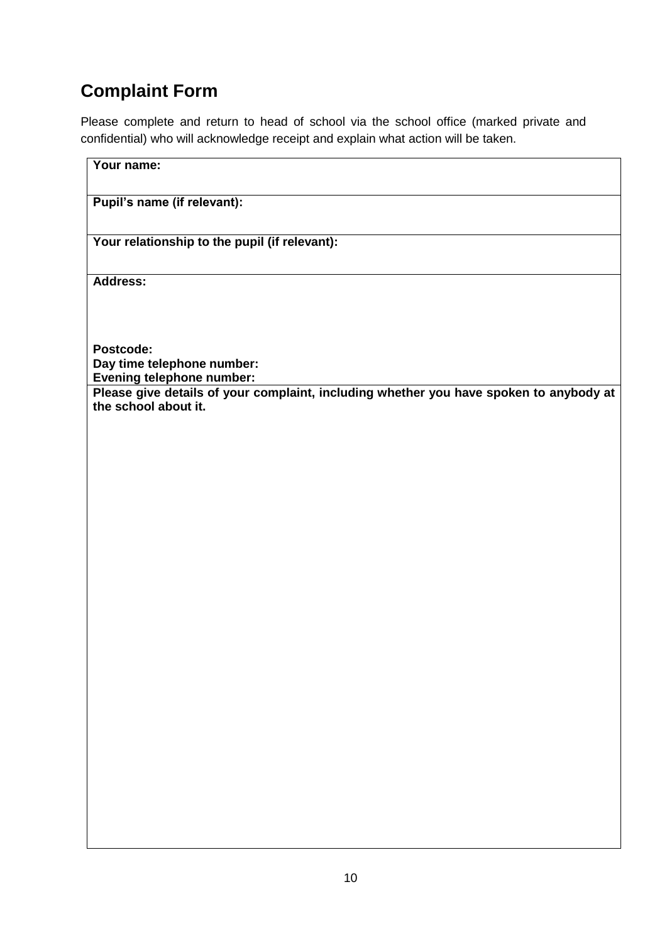# **Complaint Form**

Please complete and return to head of school via the school office (marked private and confidential) who will acknowledge receipt and explain what action will be taken.

| Your name:                                                                                                     |
|----------------------------------------------------------------------------------------------------------------|
| Pupil's name (if relevant):                                                                                    |
| Your relationship to the pupil (if relevant):                                                                  |
| Address:                                                                                                       |
|                                                                                                                |
| Postcode:<br>Day time telephone number:<br><b>Evening telephone number:</b>                                    |
| Please give details of your complaint, including whether you have spoken to anybody at<br>the school about it. |
|                                                                                                                |
|                                                                                                                |
|                                                                                                                |
|                                                                                                                |
|                                                                                                                |
|                                                                                                                |
|                                                                                                                |
|                                                                                                                |
|                                                                                                                |
|                                                                                                                |
|                                                                                                                |
|                                                                                                                |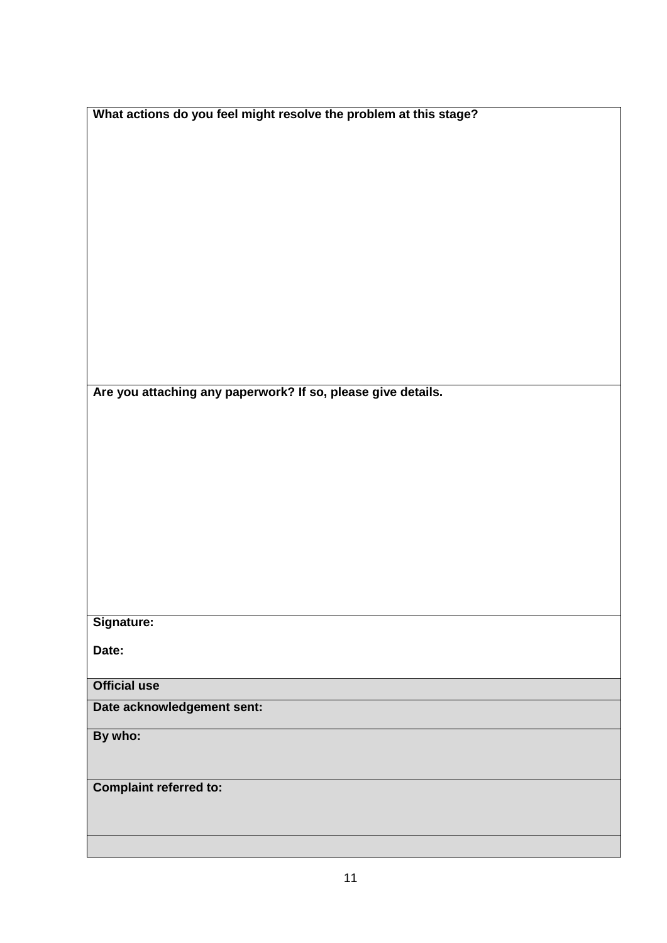| What actions do you feel might resolve the problem at this stage? |
|-------------------------------------------------------------------|
|                                                                   |
|                                                                   |
|                                                                   |
|                                                                   |
|                                                                   |
|                                                                   |
|                                                                   |
|                                                                   |
|                                                                   |
|                                                                   |
|                                                                   |
|                                                                   |
| Are you attaching any paperwork? If so, please give details.      |
|                                                                   |
|                                                                   |
|                                                                   |
|                                                                   |
|                                                                   |
|                                                                   |
|                                                                   |
|                                                                   |
|                                                                   |
|                                                                   |
| Signature:                                                        |
| Date:                                                             |
| <b>Official use</b>                                               |
|                                                                   |
| Date acknowledgement sent:                                        |
| By who:                                                           |
|                                                                   |
| <b>Complaint referred to:</b>                                     |
|                                                                   |
|                                                                   |
|                                                                   |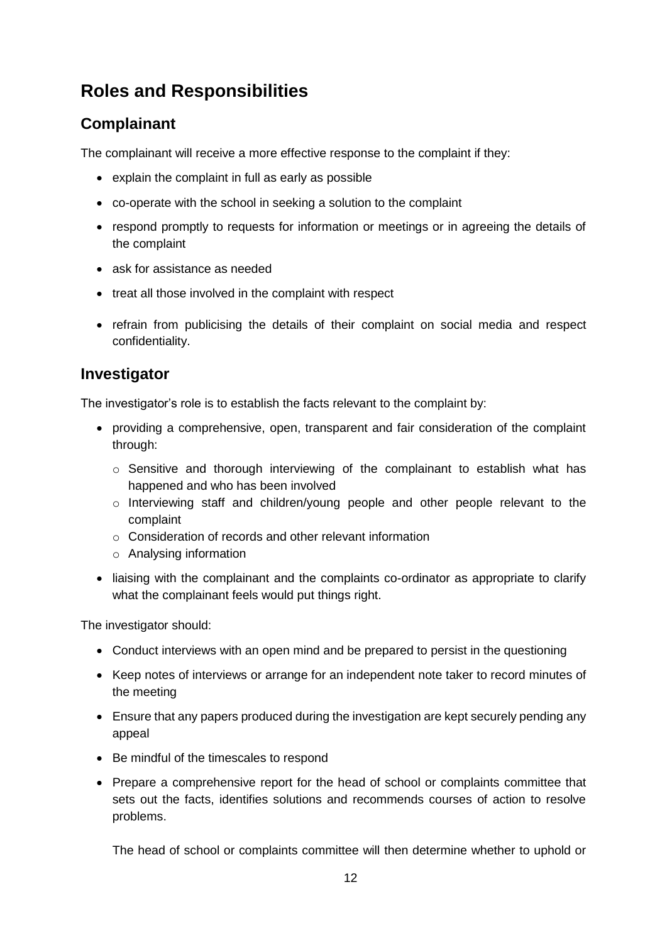# **Roles and Responsibilities**

#### **Complainant**

The complainant will receive a more effective response to the complaint if they:

- explain the complaint in full as early as possible
- co-operate with the school in seeking a solution to the complaint
- respond promptly to requests for information or meetings or in agreeing the details of the complaint
- ask for assistance as needed
- treat all those involved in the complaint with respect
- refrain from publicising the details of their complaint on social media and respect confidentiality.

#### **Investigator**

The investigator's role is to establish the facts relevant to the complaint by:

- providing a comprehensive, open, transparent and fair consideration of the complaint through:
	- $\circ$  Sensitive and thorough interviewing of the complainant to establish what has happened and who has been involved
	- o Interviewing staff and children/young people and other people relevant to the complaint
	- o Consideration of records and other relevant information
	- o Analysing information
- liaising with the complainant and the complaints co-ordinator as appropriate to clarify what the complainant feels would put things right.

The investigator should:

- Conduct interviews with an open mind and be prepared to persist in the questioning
- Keep notes of interviews or arrange for an independent note taker to record minutes of the meeting
- Ensure that any papers produced during the investigation are kept securely pending any appeal
- Be mindful of the timescales to respond
- Prepare a comprehensive report for the head of school or complaints committee that sets out the facts, identifies solutions and recommends courses of action to resolve problems.

The head of school or complaints committee will then determine whether to uphold or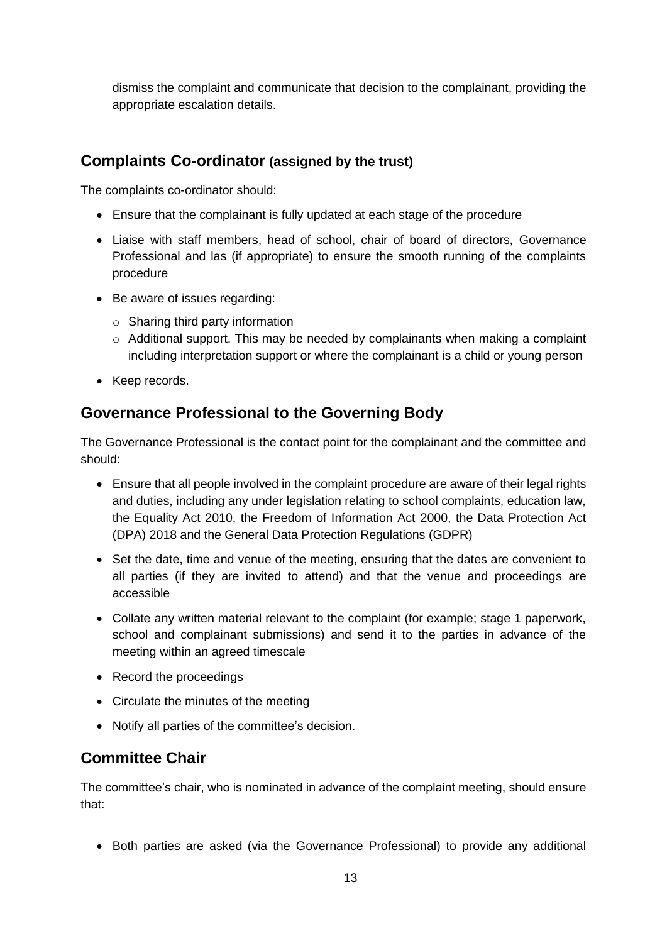dismiss the complaint and communicate that decision to the complainant, providing the appropriate escalation details.

#### **Complaints Co-ordinator (assigned by the trust)**

The complaints co-ordinator should:

- Ensure that the complainant is fully updated at each stage of the procedure
- Liaise with staff members, head of school, chair of board of directors, Governance Professional and las (if appropriate) to ensure the smooth running of the complaints procedure
- Be aware of issues regarding:
	- o Sharing third party information
	- $\circ$  Additional support. This may be needed by complainants when making a complaint including interpretation support or where the complainant is a child or young person
- Keep records.

#### **Governance Professional to the Governing Body**

The Governance Professional is the contact point for the complainant and the committee and should:

- Ensure that all people involved in the complaint procedure are aware of their legal rights and duties, including any under legislation relating to school complaints, education law, the Equality Act 2010, the Freedom of Information Act 2000, the Data Protection Act (DPA) 2018 and the General Data Protection Regulations (GDPR)
- Set the date, time and venue of the meeting, ensuring that the dates are convenient to all parties (if they are invited to attend) and that the venue and proceedings are accessible
- Collate any written material relevant to the complaint (for example; stage 1 paperwork, school and complainant submissions) and send it to the parties in advance of the meeting within an agreed timescale
- Record the proceedings
- Circulate the minutes of the meeting
- Notify all parties of the committee's decision.

#### **Committee Chair**

The committee's chair, who is nominated in advance of the complaint meeting, should ensure that:

Both parties are asked (via the Governance Professional) to provide any additional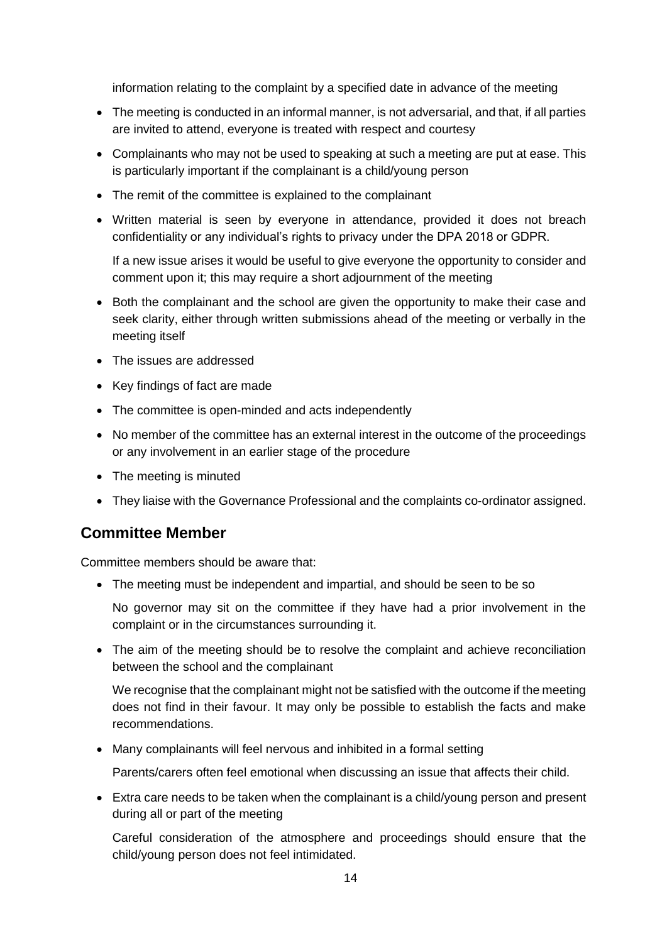information relating to the complaint by a specified date in advance of the meeting

- The meeting is conducted in an informal manner, is not adversarial, and that, if all parties are invited to attend, everyone is treated with respect and courtesy
- Complainants who may not be used to speaking at such a meeting are put at ease. This is particularly important if the complainant is a child/young person
- The remit of the committee is explained to the complainant
- Written material is seen by everyone in attendance, provided it does not breach confidentiality or any individual's rights to privacy under the DPA 2018 or GDPR.

If a new issue arises it would be useful to give everyone the opportunity to consider and comment upon it; this may require a short adjournment of the meeting

- Both the complainant and the school are given the opportunity to make their case and seek clarity, either through written submissions ahead of the meeting or verbally in the meeting itself
- The issues are addressed
- Key findings of fact are made
- The committee is open-minded and acts independently
- No member of the committee has an external interest in the outcome of the proceedings or any involvement in an earlier stage of the procedure
- The meeting is minuted
- They liaise with the Governance Professional and the complaints co-ordinator assigned.

#### **Committee Member**

Committee members should be aware that:

The meeting must be independent and impartial, and should be seen to be so

No governor may sit on the committee if they have had a prior involvement in the complaint or in the circumstances surrounding it.

 The aim of the meeting should be to resolve the complaint and achieve reconciliation between the school and the complainant

We recognise that the complainant might not be satisfied with the outcome if the meeting does not find in their favour. It may only be possible to establish the facts and make recommendations.

Many complainants will feel nervous and inhibited in a formal setting

Parents/carers often feel emotional when discussing an issue that affects their child.

 Extra care needs to be taken when the complainant is a child/young person and present during all or part of the meeting

Careful consideration of the atmosphere and proceedings should ensure that the child/young person does not feel intimidated.